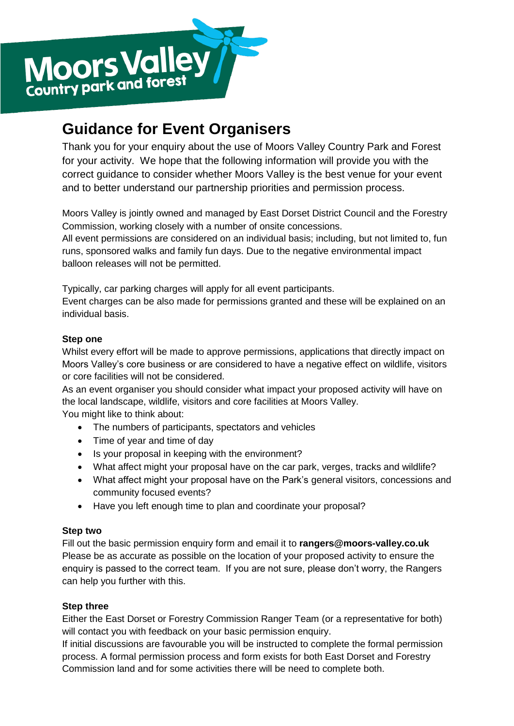

# **Guidance for Event Organisers**

Thank you for your enquiry about the use of Moors Valley Country Park and Forest for your activity. We hope that the following information will provide you with the correct guidance to consider whether Moors Valley is the best venue for your event and to better understand our partnership priorities and permission process.

Moors Valley is jointly owned and managed by East Dorset District Council and the Forestry Commission, working closely with a number of onsite concessions.

All event permissions are considered on an individual basis; including, but not limited to, fun runs, sponsored walks and family fun days. Due to the negative environmental impact balloon releases will not be permitted.

Typically, car parking charges will apply for all event participants.

Event charges can be also made for permissions granted and these will be explained on an individual basis.

### **Step one**

Whilst every effort will be made to approve permissions, applications that directly impact on Moors Valley's core business or are considered to have a negative effect on wildlife, visitors or core facilities will not be considered.

As an event organiser you should consider what impact your proposed activity will have on the local landscape, wildlife, visitors and core facilities at Moors Valley. You might like to think about:

- The numbers of participants, spectators and vehicles
- Time of year and time of day
- Is your proposal in keeping with the environment?
- What affect might your proposal have on the car park, verges, tracks and wildlife?
- What affect might your proposal have on the Park's general visitors, concessions and community focused events?
- Have you left enough time to plan and coordinate your proposal?

### **Step two**

Fill out the basic permission enquiry form and email it to **rangers@moors-valley.co.uk** Please be as accurate as possible on the location of your proposed activity to ensure the enquiry is passed to the correct team. If you are not sure, please don't worry, the Rangers can help you further with this.

### **Step three**

Either the East Dorset or Forestry Commission Ranger Team (or a representative for both) will contact you with feedback on your basic permission enquiry.

If initial discussions are favourable you will be instructed to complete the formal permission process. A formal permission process and form exists for both East Dorset and Forestry Commission land and for some activities there will be need to complete both.